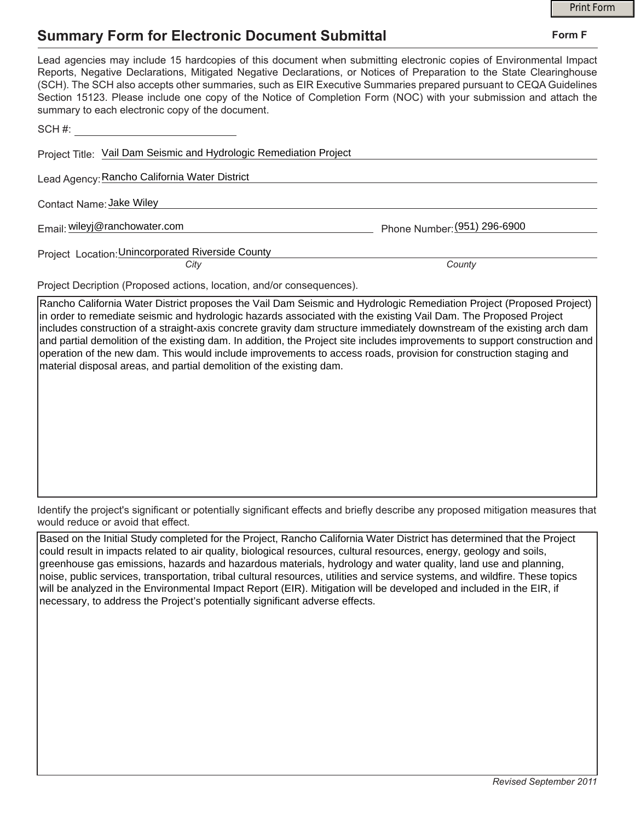## **Summary Form for Electronic Document Submittal**

|                                                                                                                                                                                                                                                                                                                                                                                                                                                                                                                                           |                              | <b>Print Form</b> |
|-------------------------------------------------------------------------------------------------------------------------------------------------------------------------------------------------------------------------------------------------------------------------------------------------------------------------------------------------------------------------------------------------------------------------------------------------------------------------------------------------------------------------------------------|------------------------------|-------------------|
| <b>Summary Form for Electronic Document Submittal</b>                                                                                                                                                                                                                                                                                                                                                                                                                                                                                     |                              | Form F            |
| Lead agencies may include 15 hardcopies of this document when submitting electronic copies of Environmental Impact<br>Reports, Negative Declarations, Mitigated Negative Declarations, or Notices of Preparation to the State Clearinghouse<br>(SCH). The SCH also accepts other summaries, such as EIR Executive Summaries prepared pursuant to CEQA Guidelines<br>Section 15123. Please include one copy of the Notice of Completion Form (NOC) with your submission and attach the<br>summary to each electronic copy of the document. |                              |                   |
| SCH #: _______________________________                                                                                                                                                                                                                                                                                                                                                                                                                                                                                                    |                              |                   |
| Project Title: Vail Dam Seismic and Hydrologic Remediation Project                                                                                                                                                                                                                                                                                                                                                                                                                                                                        |                              |                   |
| Lead Agency: Rancho California Water District                                                                                                                                                                                                                                                                                                                                                                                                                                                                                             |                              |                   |
| Contact Name: Jake Wiley                                                                                                                                                                                                                                                                                                                                                                                                                                                                                                                  |                              |                   |
| Email: wileyj@ranchowater.com                                                                                                                                                                                                                                                                                                                                                                                                                                                                                                             | Phone Number: (951) 296-6900 |                   |
| Project Location: Unincorporated Riverside County                                                                                                                                                                                                                                                                                                                                                                                                                                                                                         |                              |                   |
| City                                                                                                                                                                                                                                                                                                                                                                                                                                                                                                                                      | County                       |                   |
| Project Decription (Proposed actions, location, and/or consequences).                                                                                                                                                                                                                                                                                                                                                                                                                                                                     |                              |                   |
| Dancho California Water District proposes the Vail Dam Sejsmic and Hydrologic Pemediation Project (Proposed Project)                                                                                                                                                                                                                                                                                                                                                                                                                      |                              |                   |

Rancho California Water District proposes the Vail Dam Seismic and Hydrologic Remediation Project (Proposed Project) in order to remediate seismic and hydrologic hazards associated with the existing Vail Dam. The Proposed Project includes construction of a straight-axis concrete gravity dam structure immediately downstream of the existing arch dam and partial demolition of the existing dam. In addition, the Project site includes improvements to support construction and operation of the new dam. This would include improvements to access roads, provision for construction staging and material disposal areas, and partial demolition of the existing dam.

Identify the project's significant or potentially significant effects and briefly describe any proposed mitigation measures that would reduce or avoid that effect.

Based on the Initial Study completed for the Project, Rancho California Water District has determined that the Project could result in impacts related to air quality, biological resources, cultural resources, energy, geology and soils, greenhouse gas emissions, hazards and hazardous materials, hydrology and water quality, land use and planning, noise, public services, transportation, tribal cultural resources, utilities and service systems, and wildfire. These topics will be analyzed in the Environmental Impact Report (EIR). Mitigation will be developed and included in the EIR, if necessary, to address the Project's potentially significant adverse effects.